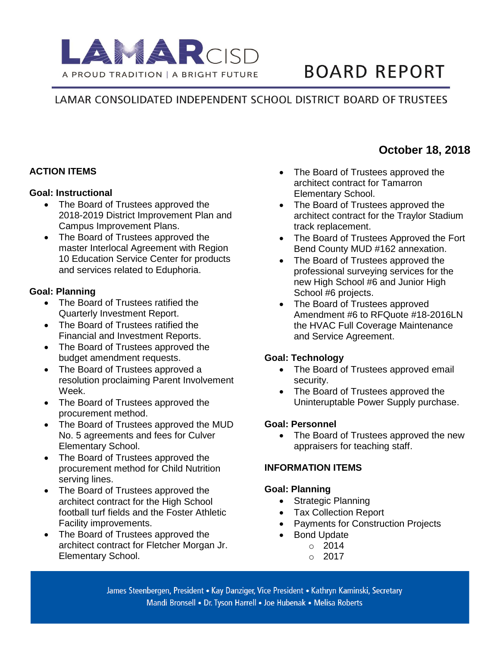

# **BOARD REPORT**

# LAMAR CONSOLIDATED INDEPENDENT SCHOOL DISTRICT BOARD OF TRUSTEES

## **ACTION ITEMS**

#### **Goal: Instructional**

- The Board of Trustees approved the 2018-2019 District Improvement Plan and Campus Improvement Plans.
- The Board of Trustees approved the master Interlocal Agreement with Region 10 Education Service Center for products and services related to Eduphoria.

#### **Goal: Planning**

- The Board of Trustees ratified the Quarterly Investment Report.
- The Board of Trustees ratified the Financial and Investment Reports.
- The Board of Trustees approved the budget amendment requests.
- The Board of Trustees approved a resolution proclaiming Parent Involvement Week.
- The Board of Trustees approved the procurement method.
- The Board of Trustees approved the MUD No. 5 agreements and fees for Culver Elementary School.
- The Board of Trustees approved the procurement method for Child Nutrition serving lines.
- The Board of Trustees approved the architect contract for the High School football turf fields and the Foster Athletic Facility improvements.
- The Board of Trustees approved the architect contract for Fletcher Morgan Jr. Elementary School.
- The Board of Trustees approved the architect contract for Tamarron Elementary School.
- The Board of Trustees approved the architect contract for the Traylor Stadium track replacement.
- The Board of Trustees Approved the Fort Bend County MUD #162 annexation.
- The Board of Trustees approved the professional surveying services for the new High School #6 and Junior High School #6 projects.
- The Board of Trustees approved Amendment #6 to RFQuote #18-2016LN the HVAC Full Coverage Maintenance and Service Agreement.

## **Goal: Technology**

- The Board of Trustees approved email security.
- The Board of Trustees approved the Uninteruptable Power Supply purchase.

#### **Goal: Personnel**

• The Board of Trustees approved the new appraisers for teaching staff.

## **INFORMATION ITEMS**

## **Goal: Planning**

- Strategic Planning
- Tax Collection Report
- Payments for Construction Projects
- **Bond Update** 
	- o 2014
		- $\degree$  2017

James Steenbergen, President • Kay Danziger, Vice President • Kathryn Kaminski, Secretary Mandi Bronsell • Dr. Tyson Harrell • Joe Hubenak • Melisa Roberts

# **October 18, 2018**